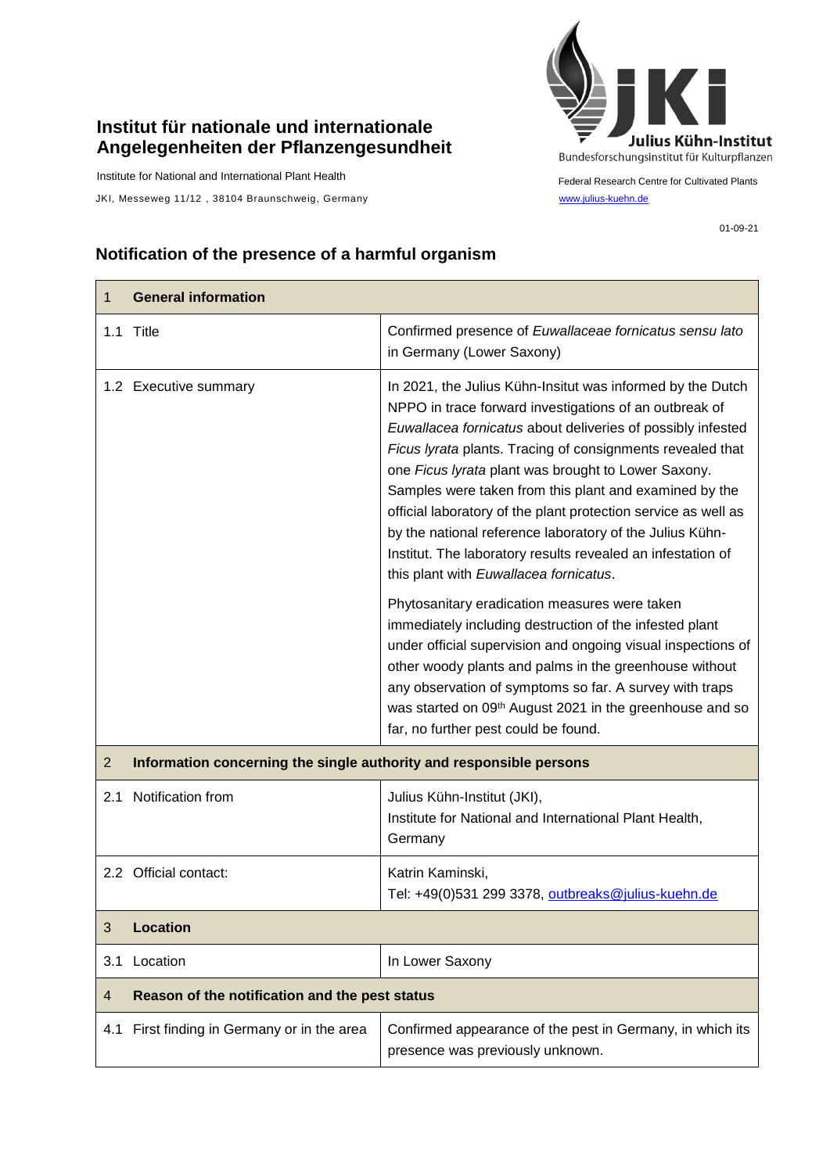## **Institut für nationale und internationale Angelegenheiten der Pflanzengesundheit**

Institute for National and International Plant Health

JKI, Messeweg 11/12, 38104 Braunschweig, Germany [www.julius-kuehn.de](http://www.julius-kuehn.de/)



Federal Research Centre for Cultivated Plants

## **Notification of the presence of a harmful organism**

| 1              | <b>General information</b>                                          |                                                                                                                                                                                                                                                                                                                                                                                                                                                                                                                                                                                                           |
|----------------|---------------------------------------------------------------------|-----------------------------------------------------------------------------------------------------------------------------------------------------------------------------------------------------------------------------------------------------------------------------------------------------------------------------------------------------------------------------------------------------------------------------------------------------------------------------------------------------------------------------------------------------------------------------------------------------------|
|                | 1.1 Title                                                           | Confirmed presence of Euwallaceae fornicatus sensu lato<br>in Germany (Lower Saxony)                                                                                                                                                                                                                                                                                                                                                                                                                                                                                                                      |
|                | 1.2 Executive summary                                               | In 2021, the Julius Kühn-Insitut was informed by the Dutch<br>NPPO in trace forward investigations of an outbreak of<br>Euwallacea fornicatus about deliveries of possibly infested<br>Ficus lyrata plants. Tracing of consignments revealed that<br>one Ficus lyrata plant was brought to Lower Saxony.<br>Samples were taken from this plant and examined by the<br>official laboratory of the plant protection service as well as<br>by the national reference laboratory of the Julius Kühn-<br>Institut. The laboratory results revealed an infestation of<br>this plant with Euwallacea fornicatus. |
|                |                                                                     | Phytosanitary eradication measures were taken<br>immediately including destruction of the infested plant<br>under official supervision and ongoing visual inspections of<br>other woody plants and palms in the greenhouse without<br>any observation of symptoms so far. A survey with traps<br>was started on 09th August 2021 in the greenhouse and so<br>far, no further pest could be found.                                                                                                                                                                                                         |
| $\overline{2}$ | Information concerning the single authority and responsible persons |                                                                                                                                                                                                                                                                                                                                                                                                                                                                                                                                                                                                           |
| 2.1            | Notification from                                                   | Julius Kühn-Institut (JKI),<br>Institute for National and International Plant Health,<br>Germany                                                                                                                                                                                                                                                                                                                                                                                                                                                                                                          |
|                | 2.2 Official contact:                                               | Katrin Kaminski,<br>Tel: +49(0)531 299 3378, outbreaks@julius-kuehn.de                                                                                                                                                                                                                                                                                                                                                                                                                                                                                                                                    |
| 3              | <b>Location</b>                                                     |                                                                                                                                                                                                                                                                                                                                                                                                                                                                                                                                                                                                           |
| 3.1            | Location                                                            | In Lower Saxony                                                                                                                                                                                                                                                                                                                                                                                                                                                                                                                                                                                           |
| 4              | Reason of the notification and the pest status                      |                                                                                                                                                                                                                                                                                                                                                                                                                                                                                                                                                                                                           |
|                | 4.1 First finding in Germany or in the area                         | Confirmed appearance of the pest in Germany, in which its<br>presence was previously unknown.                                                                                                                                                                                                                                                                                                                                                                                                                                                                                                             |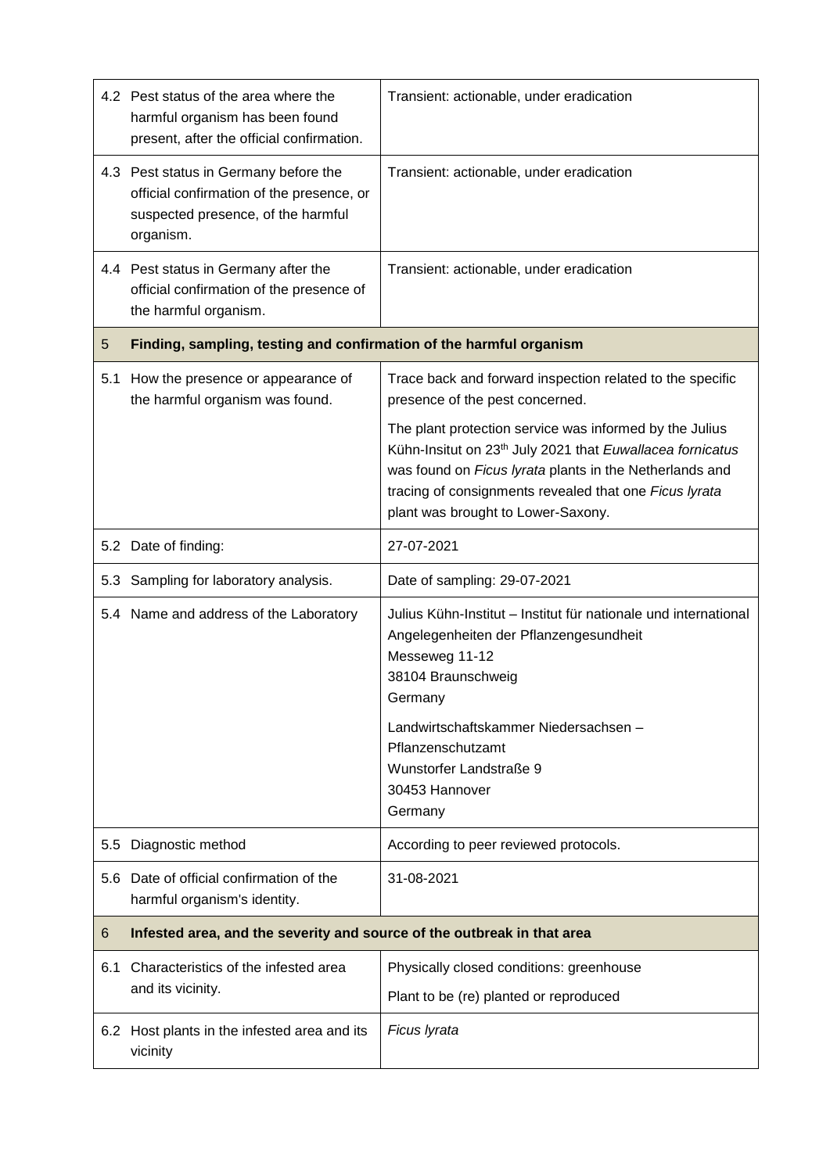|     | 4.2 Pest status of the area where the<br>harmful organism has been found<br>present, after the official confirmation.                 | Transient: actionable, under eradication                                                                                                                                                                                                                                                    |  |
|-----|---------------------------------------------------------------------------------------------------------------------------------------|---------------------------------------------------------------------------------------------------------------------------------------------------------------------------------------------------------------------------------------------------------------------------------------------|--|
|     | 4.3 Pest status in Germany before the<br>official confirmation of the presence, or<br>suspected presence, of the harmful<br>organism. | Transient: actionable, under eradication                                                                                                                                                                                                                                                    |  |
|     | 4.4 Pest status in Germany after the<br>official confirmation of the presence of<br>the harmful organism.                             | Transient: actionable, under eradication                                                                                                                                                                                                                                                    |  |
| 5   | Finding, sampling, testing and confirmation of the harmful organism                                                                   |                                                                                                                                                                                                                                                                                             |  |
| 5.1 | How the presence or appearance of<br>the harmful organism was found.                                                                  | Trace back and forward inspection related to the specific<br>presence of the pest concerned.                                                                                                                                                                                                |  |
|     |                                                                                                                                       | The plant protection service was informed by the Julius<br>Kühn-Insitut on 23 <sup>th</sup> July 2021 that Euwallacea fornicatus<br>was found on Ficus lyrata plants in the Netherlands and<br>tracing of consignments revealed that one Ficus lyrata<br>plant was brought to Lower-Saxony. |  |
|     | 5.2 Date of finding:                                                                                                                  | 27-07-2021                                                                                                                                                                                                                                                                                  |  |
| 5.3 | Sampling for laboratory analysis.                                                                                                     | Date of sampling: 29-07-2021                                                                                                                                                                                                                                                                |  |
|     | 5.4 Name and address of the Laboratory                                                                                                | Julius Kühn-Institut - Institut für nationale und international<br>Angelegenheiten der Pflanzengesundheit<br>Messeweg 11-12<br>38104 Braunschweig<br>Germany<br>Landwirtschaftskammer Niedersachsen -<br>Pflanzenschutzamt<br>Wunstorfer Landstraße 9<br>30453 Hannover<br>Germany          |  |
| 5.5 | Diagnostic method                                                                                                                     | According to peer reviewed protocols.                                                                                                                                                                                                                                                       |  |
| 5.6 | Date of official confirmation of the<br>harmful organism's identity.                                                                  | 31-08-2021                                                                                                                                                                                                                                                                                  |  |
| 6   | Infested area, and the severity and source of the outbreak in that area                                                               |                                                                                                                                                                                                                                                                                             |  |
| 6.1 | Characteristics of the infested area<br>and its vicinity.                                                                             | Physically closed conditions: greenhouse<br>Plant to be (re) planted or reproduced                                                                                                                                                                                                          |  |
|     | 6.2 Host plants in the infested area and its<br>vicinity                                                                              | Ficus Iyrata                                                                                                                                                                                                                                                                                |  |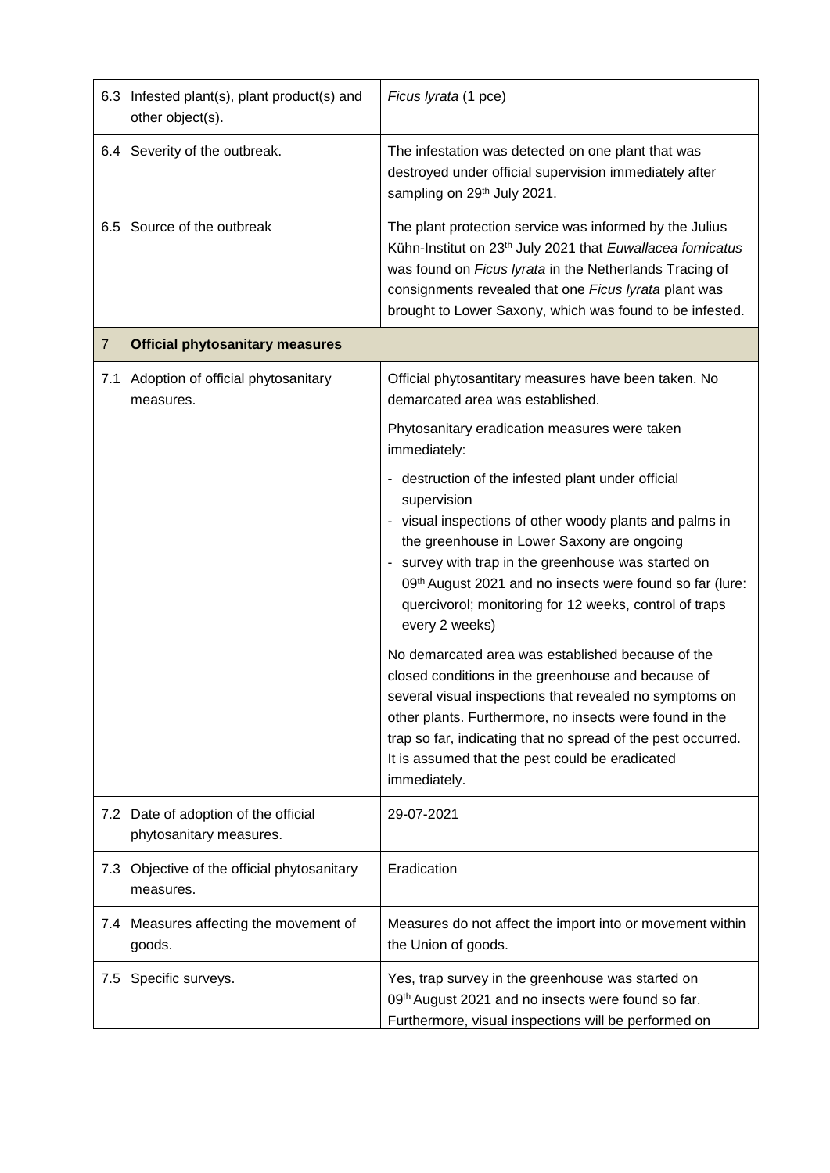|                | 6.3 Infested plant(s), plant product(s) and<br>other object(s). | Ficus lyrata (1 pce)                                                                                                                                                                                                                                                                                                                                                                                                                                                                                                                            |
|----------------|-----------------------------------------------------------------|-------------------------------------------------------------------------------------------------------------------------------------------------------------------------------------------------------------------------------------------------------------------------------------------------------------------------------------------------------------------------------------------------------------------------------------------------------------------------------------------------------------------------------------------------|
|                | 6.4 Severity of the outbreak.                                   | The infestation was detected on one plant that was<br>destroyed under official supervision immediately after<br>sampling on 29th July 2021.                                                                                                                                                                                                                                                                                                                                                                                                     |
|                | 6.5 Source of the outbreak                                      | The plant protection service was informed by the Julius<br>Kühn-Institut on 23 <sup>th</sup> July 2021 that Euwallacea fornicatus<br>was found on Ficus lyrata in the Netherlands Tracing of<br>consignments revealed that one Ficus lyrata plant was<br>brought to Lower Saxony, which was found to be infested.                                                                                                                                                                                                                               |
| $\overline{7}$ | <b>Official phytosanitary measures</b>                          |                                                                                                                                                                                                                                                                                                                                                                                                                                                                                                                                                 |
| 7.1            | Adoption of official phytosanitary<br>measures.                 | Official phytosantitary measures have been taken. No<br>demarcated area was established.                                                                                                                                                                                                                                                                                                                                                                                                                                                        |
|                |                                                                 | Phytosanitary eradication measures were taken<br>immediately:                                                                                                                                                                                                                                                                                                                                                                                                                                                                                   |
|                |                                                                 | - destruction of the infested plant under official<br>supervision<br>- visual inspections of other woody plants and palms in<br>the greenhouse in Lower Saxony are ongoing<br>- survey with trap in the greenhouse was started on<br>09th August 2021 and no insects were found so far (lure:<br>quercivorol; monitoring for 12 weeks, control of traps<br>every 2 weeks)<br>No demarcated area was established because of the<br>closed conditions in the greenhouse and because of<br>several visual inspections that revealed no symptoms on |
|                |                                                                 | other plants. Furthermore, no insects were found in the<br>trap so far, indicating that no spread of the pest occurred.<br>It is assumed that the pest could be eradicated<br>immediately.                                                                                                                                                                                                                                                                                                                                                      |
|                | 7.2 Date of adoption of the official<br>phytosanitary measures. | 29-07-2021                                                                                                                                                                                                                                                                                                                                                                                                                                                                                                                                      |
| 7.3            | Objective of the official phytosanitary<br>measures.            | Eradication                                                                                                                                                                                                                                                                                                                                                                                                                                                                                                                                     |
|                | 7.4 Measures affecting the movement of<br>goods.                | Measures do not affect the import into or movement within<br>the Union of goods.                                                                                                                                                                                                                                                                                                                                                                                                                                                                |
| 7.5            | Specific surveys.                                               | Yes, trap survey in the greenhouse was started on<br>09th August 2021 and no insects were found so far.<br>Furthermore, visual inspections will be performed on                                                                                                                                                                                                                                                                                                                                                                                 |